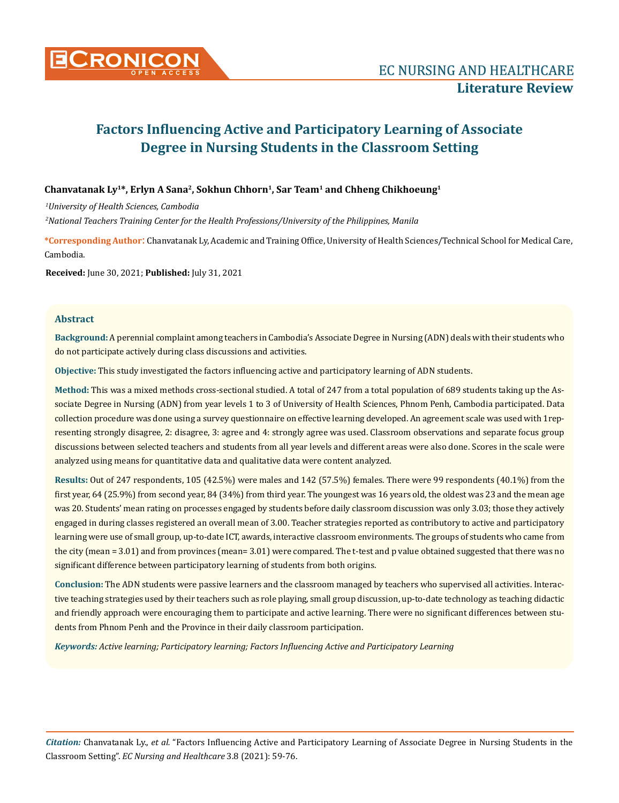

# **Factors Influencing Active and Participatory Learning of Associate Degree in Nursing Students in the Classroom Setting**

### **Chanvatanak Ly<sup>1</sup>\*, Erlyn A Sana<sup>2</sup>, Sokhun Chhorn<sup>1</sup>, Sar Team<sup>1</sup> and Chheng Chikhoeung<sup>1</sup>**

*1 University of Health Sciences, Cambodia*

*2 National Teachers Training Center for the Health Professions/University of the Philippines, Manila*

**\*Corresponding Author**: Chanvatanak Ly, Academic and Training Office, University of Health Sciences/Technical School for Medical Care, Cambodia.

**Received:** June 30, 2021; **Published:** July 31, 2021

### **Abstract**

**Background:** A perennial complaint among teachers in Cambodia's Associate Degree in Nursing (ADN) deals with their students who do not participate actively during class discussions and activities.

**Objective:** This study investigated the factors influencing active and participatory learning of ADN students.

**Method:** This was a mixed methods cross-sectional studied. A total of 247 from a total population of 689 students taking up the Associate Degree in Nursing (ADN) from year levels 1 to 3 of University of Health Sciences, Phnom Penh, Cambodia participated. Data collection procedure was done using a survey questionnaire on effective learning developed. An agreement scale was used with 1representing strongly disagree, 2: disagree, 3: agree and 4: strongly agree was used. Classroom observations and separate focus group discussions between selected teachers and students from all year levels and different areas were also done. Scores in the scale were analyzed using means for quantitative data and qualitative data were content analyzed.

**Results:** Out of 247 respondents, 105 (42.5%) were males and 142 (57.5%) females. There were 99 respondents (40.1%) from the first year, 64 (25.9%) from second year, 84 (34%) from third year. The youngest was 16 years old, the oldest was 23 and the mean age was 20. Students' mean rating on processes engaged by students before daily classroom discussion was only 3.03; those they actively engaged in during classes registered an overall mean of 3.00. Teacher strategies reported as contributory to active and participatory learning were use of small group, up-to-date ICT, awards, interactive classroom environments. The groups of students who came from the city (mean = 3.01) and from provinces (mean= 3.01) were compared. The t-test and p value obtained suggested that there was no significant difference between participatory learning of students from both origins.

**Conclusion:** The ADN students were passive learners and the classroom managed by teachers who supervised all activities. Interactive teaching strategies used by their teachers such as role playing, small group discussion, up-to-date technology as teaching didactic and friendly approach were encouraging them to participate and active learning. There were no significant differences between students from Phnom Penh and the Province in their daily classroom participation.

*Keywords: Active learning; Participatory learning; Factors Influencing Active and Participatory Learning*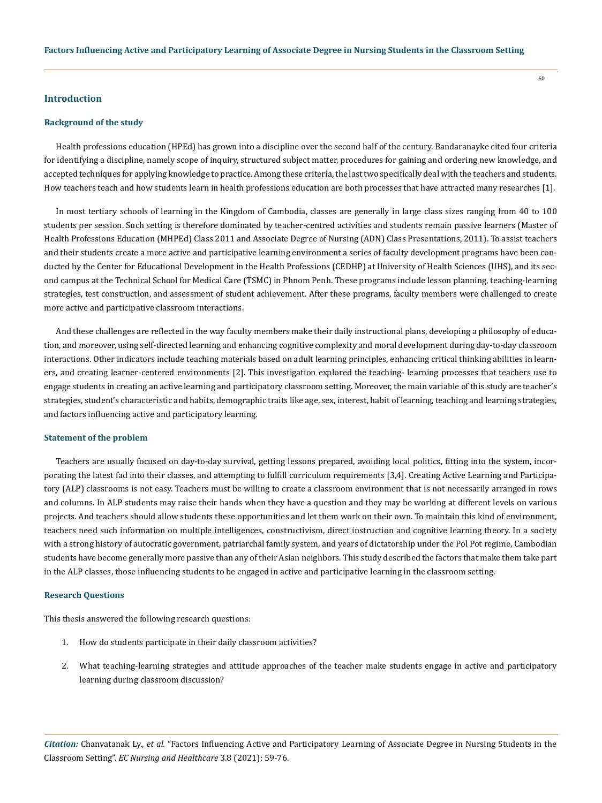### **Introduction**

#### **Background of the study**

Health professions education (HPEd) has grown into a discipline over the second half of the century. Bandaranayke cited four criteria for identifying a discipline, namely scope of inquiry, structured subject matter, procedures for gaining and ordering new knowledge, and accepted techniques for applying knowledge to practice. Among these criteria, the last two specifically deal with the teachers and students. How teachers teach and how students learn in health professions education are both processes that have attracted many researches [1].

In most tertiary schools of learning in the Kingdom of Cambodia, classes are generally in large class sizes ranging from 40 to 100 students per session. Such setting is therefore dominated by teacher-centred activities and students remain passive learners (Master of Health Professions Education (MHPEd) Class 2011 and Associate Degree of Nursing (ADN) Class Presentations, 2011). To assist teachers and their students create a more active and participative learning environment a series of faculty development programs have been conducted by the Center for Educational Development in the Health Professions (CEDHP) at University of Health Sciences (UHS), and its second campus at the Technical School for Medical Care (TSMC) in Phnom Penh. These programs include lesson planning, teaching-learning strategies, test construction, and assessment of student achievement. After these programs, faculty members were challenged to create more active and participative classroom interactions.

And these challenges are reflected in the way faculty members make their daily instructional plans, developing a philosophy of education, and moreover, using self-directed learning and enhancing cognitive complexity and moral development during day-to-day classroom interactions. Other indicators include teaching materials based on adult learning principles, enhancing critical thinking abilities in learners, and creating learner-centered environments [2]. This investigation explored the teaching- learning processes that teachers use to engage students in creating an active learning and participatory classroom setting. Moreover, the main variable of this study are teacher's strategies, student's characteristic and habits, demographic traits like age, sex, interest, habit of learning, teaching and learning strategies, and factors influencing active and participatory learning.

#### **Statement of the problem**

Teachers are usually focused on day-to-day survival, getting lessons prepared, avoiding local politics, fitting into the system, incorporating the latest fad into their classes, and attempting to fulfill curriculum requirements [3,4]. Creating Active Learning and Participatory (ALP) classrooms is not easy. Teachers must be willing to create a classroom environment that is not necessarily arranged in rows and columns. In ALP students may raise their hands when they have a question and they may be working at different levels on various projects. And teachers should allow students these opportunities and let them work on their own. To maintain this kind of environment, teachers need such information on multiple intelligences, constructivism, direct instruction and cognitive learning theory. In a society with a strong history of autocratic government, patriarchal family system, and years of dictatorship under the Pol Pot regime, Cambodian students have become generally more passive than any of their Asian neighbors. This study described the factors that make them take part in the ALP classes, those influencing students to be engaged in active and participative learning in the classroom setting.

#### **Research Questions**

This thesis answered the following research questions:

- 1. How do students participate in their daily classroom activities?
- 2. What teaching-learning strategies and attitude approaches of the teacher make students engage in active and participatory learning during classroom discussion?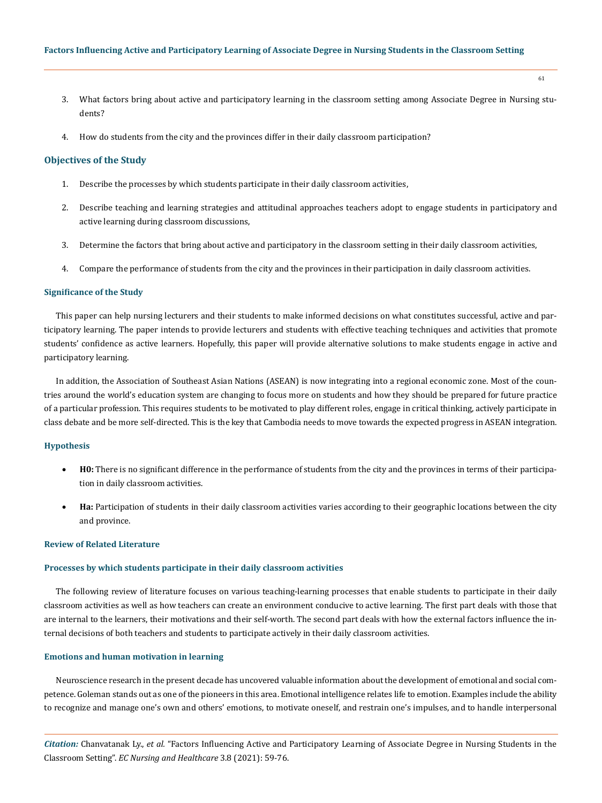- 3. What factors bring about active and participatory learning in the classroom setting among Associate Degree in Nursing students?
- 4. How do students from the city and the provinces differ in their daily classroom participation?

### **Objectives of the Study**

- 1. Describe the processes by which students participate in their daily classroom activities,
- 2. Describe teaching and learning strategies and attitudinal approaches teachers adopt to engage students in participatory and active learning during classroom discussions,
- 3. Determine the factors that bring about active and participatory in the classroom setting in their daily classroom activities,
- 4. Compare the performance of students from the city and the provinces in their participation in daily classroom activities.

### **Significance of the Study**

This paper can help nursing lecturers and their students to make informed decisions on what constitutes successful, active and participatory learning. The paper intends to provide lecturers and students with effective teaching techniques and activities that promote students' confidence as active learners. Hopefully, this paper will provide alternative solutions to make students engage in active and participatory learning.

In addition, the Association of Southeast Asian Nations (ASEAN) is now integrating into a regional economic zone. Most of the countries around the world's education system are changing to focus more on students and how they should be prepared for future practice of a particular profession. This requires students to be motivated to play different roles, engage in critical thinking, actively participate in class debate and be more self-directed. This is the key that Cambodia needs to move towards the expected progress in ASEAN integration.

#### **Hypothesis**

- **H0:** There is no significant difference in the performance of students from the city and the provinces in terms of their participation in daily classroom activities.
- Ha: Participation of students in their daily classroom activities varies according to their geographic locations between the city and province.

### **Review of Related Literature**

#### **Processes by which students participate in their daily classroom activities**

The following review of literature focuses on various teaching-learning processes that enable students to participate in their daily classroom activities as well as how teachers can create an environment conducive to active learning. The first part deals with those that are internal to the learners, their motivations and their self-worth. The second part deals with how the external factors influence the internal decisions of both teachers and students to participate actively in their daily classroom activities.

### **Emotions and human motivation in learning**

Neuroscience research in the present decade has uncovered valuable information about the development of emotional and social competence. Goleman stands out as one of the pioneers in this area. Emotional intelligence relates life to emotion. Examples include the ability to recognize and manage one's own and others' emotions, to motivate oneself, and restrain one's impulses, and to handle interpersonal

*Citation:* Chanvatanak Ly., *et al.* "Factors Influencing Active and Participatory Learning of Associate Degree in Nursing Students in the Classroom Setting". *EC Nursing and Healthcare* 3.8 (2021): 59-76.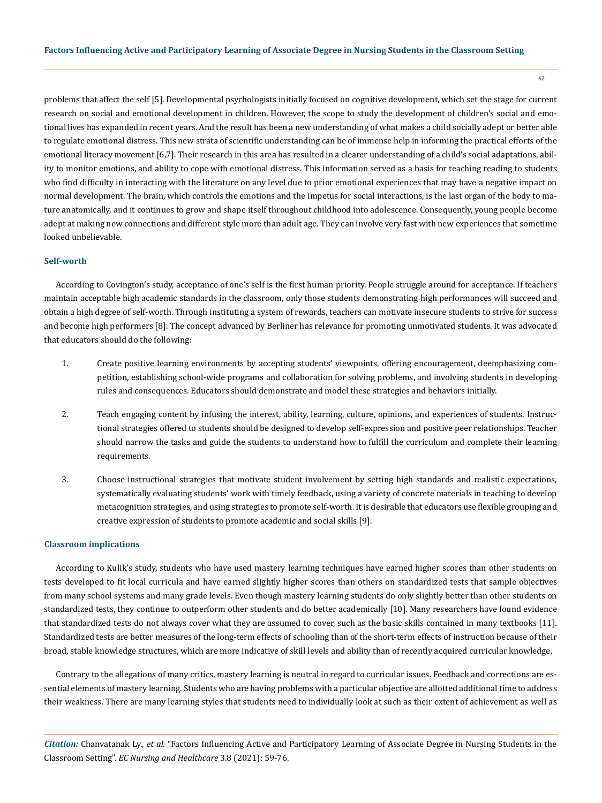problems that affect the self [5]. Developmental psychologists initially focused on cognitive development, which set the stage for current research on social and emotional development in children. However, the scope to study the development of children's social and emotional lives has expanded in recent years. And the result has been a new understanding of what makes a child socially adept or better able to regulate emotional distress. This new strata of scientific understanding can be of immense help in informing the practical efforts of the emotional literacy movement [6,7]. Their research in this area has resulted in a clearer understanding of a child's social adaptations, ability to monitor emotions, and ability to cope with emotional distress. This information served as a basis for teaching reading to students who find difficulty in interacting with the literature on any level due to prior emotional experiences that may have a negative impact on normal development. The brain, which controls the emotions and the impetus for social interactions, is the last organ of the body to mature anatomically, and it continues to grow and shape itself throughout childhood into adolescence. Consequently, young people become adept at making new connections and different style more than adult age. They can involve very fast with new experiences that sometime looked unbelievable.

### **Self-worth**

According to Covington's study, acceptance of one's self is the first human priority. People struggle around for acceptance. If teachers maintain acceptable high academic standards in the classroom, only those students demonstrating high performances will succeed and obtain a high degree of self-worth. Through instituting a system of rewards, teachers can motivate insecure students to strive for success and become high performers [8]. The concept advanced by Berliner has relevance for promoting unmotivated students. It was advocated that educators should do the following:

- 1. Create positive learning environments by accepting students' viewpoints, offering encouragement, deemphasizing competition, establishing school-wide programs and collaboration for solving problems, and involving students in developing rules and consequences. Educators should demonstrate and model these strategies and behaviors initially.
- 2. Teach engaging content by infusing the interest, ability, learning, culture, opinions, and experiences of students. Instructional strategies offered to students should be designed to develop self-expression and positive peer relationships. Teacher should narrow the tasks and guide the students to understand how to fulfill the curriculum and complete their learning requirements.
- 3. Choose instructional strategies that motivate student involvement by setting high standards and realistic expectations, systematically evaluating students' work with timely feedback, using a variety of concrete materials in teaching to develop metacognition strategies, and using strategies to promote self-worth. It is desirable that educators use flexible grouping and creative expression of students to promote academic and social skills [9].

### **Classroom implications**

According to Kulik's study, students who have used mastery learning techniques have earned higher scores than other students on tests developed to fit local curricula and have earned slightly higher scores than others on standardized tests that sample objectives from many school systems and many grade levels. Even though mastery learning students do only slightly better than other students on standardized tests, they continue to outperform other students and do better academically [10]. Many researchers have found evidence that standardized tests do not always cover what they are assumed to cover, such as the basic skills contained in many textbooks [11]. Standardized tests are better measures of the long-term effects of schooling than of the short-term effects of instruction because of their broad, stable knowledge structures, which are more indicative of skill levels and ability than of recently acquired curricular knowledge.

Contrary to the allegations of many critics, mastery learning is neutral in regard to curricular issues. Feedback and corrections are essential elements of mastery learning. Students who are having problems with a particular objective are allotted additional time to address their weakness. There are many learning styles that students need to individually look at such as their extent of achievement as well as

*Citation:* Chanvatanak Ly., *et al.* "Factors Influencing Active and Participatory Learning of Associate Degree in Nursing Students in the Classroom Setting". *EC Nursing and Healthcare* 3.8 (2021): 59-76.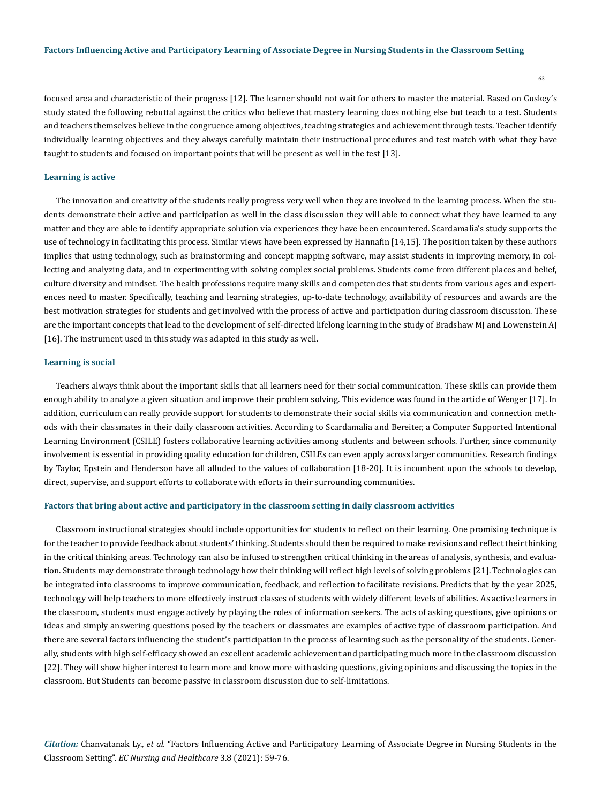focused area and characteristic of their progress [12]. The learner should not wait for others to master the material. Based on Guskey's study stated the following rebuttal against the critics who believe that mastery learning does nothing else but teach to a test. Students and teachers themselves believe in the congruence among objectives, teaching strategies and achievement through tests. Teacher identify individually learning objectives and they always carefully maintain their instructional procedures and test match with what they have taught to students and focused on important points that will be present as well in the test [13].

### **Learning is active**

The innovation and creativity of the students really progress very well when they are involved in the learning process. When the students demonstrate their active and participation as well in the class discussion they will able to connect what they have learned to any matter and they are able to identify appropriate solution via experiences they have been encountered. Scardamalia's study supports the use of technology in facilitating this process. Similar views have been expressed by Hannafin [14,15]. The position taken by these authors implies that using technology, such as brainstorming and concept mapping software, may assist students in improving memory, in collecting and analyzing data, and in experimenting with solving complex social problems. Students come from different places and belief, culture diversity and mindset. The health professions require many skills and competencies that students from various ages and experiences need to master. Specifically, teaching and learning strategies, up-to-date technology, availability of resources and awards are the best motivation strategies for students and get involved with the process of active and participation during classroom discussion. These are the important concepts that lead to the development of self-directed lifelong learning in the study of Bradshaw MJ and Lowenstein AJ [16]. The instrument used in this study was adapted in this study as well.

#### **Learning is social**

Teachers always think about the important skills that all learners need for their social communication. These skills can provide them enough ability to analyze a given situation and improve their problem solving. This evidence was found in the article of Wenger [17]. In addition, curriculum can really provide support for students to demonstrate their social skills via communication and connection methods with their classmates in their daily classroom activities. According to Scardamalia and Bereiter, a Computer Supported Intentional Learning Environment (CSILE) fosters collaborative learning activities among students and between schools. Further, since community involvement is essential in providing quality education for children, CSILEs can even apply across larger communities. Research findings by Taylor, Epstein and Henderson have all alluded to the values of collaboration [18-20]. It is incumbent upon the schools to develop, direct, supervise, and support efforts to collaborate with efforts in their surrounding communities.

#### **Factors that bring about active and participatory in the classroom setting in daily classroom activities**

Classroom instructional strategies should include opportunities for students to reflect on their learning. One promising technique is for the teacher to provide feedback about students' thinking. Students should then be required to make revisions and reflect their thinking in the critical thinking areas. Technology can also be infused to strengthen critical thinking in the areas of analysis, synthesis, and evaluation. Students may demonstrate through technology how their thinking will reflect high levels of solving problems [21]. Technologies can be integrated into classrooms to improve communication, feedback, and reflection to facilitate revisions. Predicts that by the year 2025, technology will help teachers to more effectively instruct classes of students with widely different levels of abilities. As active learners in the classroom, students must engage actively by playing the roles of information seekers. The acts of asking questions, give opinions or ideas and simply answering questions posed by the teachers or classmates are examples of active type of classroom participation. And there are several factors influencing the student's participation in the process of learning such as the personality of the students. Generally, students with high self-efficacy showed an excellent academic achievement and participating much more in the classroom discussion [22]. They will show higher interest to learn more and know more with asking questions, giving opinions and discussing the topics in the classroom. But Students can become passive in classroom discussion due to self-limitations.

*Citation:* Chanvatanak Ly., *et al.* "Factors Influencing Active and Participatory Learning of Associate Degree in Nursing Students in the Classroom Setting". *EC Nursing and Healthcare* 3.8 (2021): 59-76.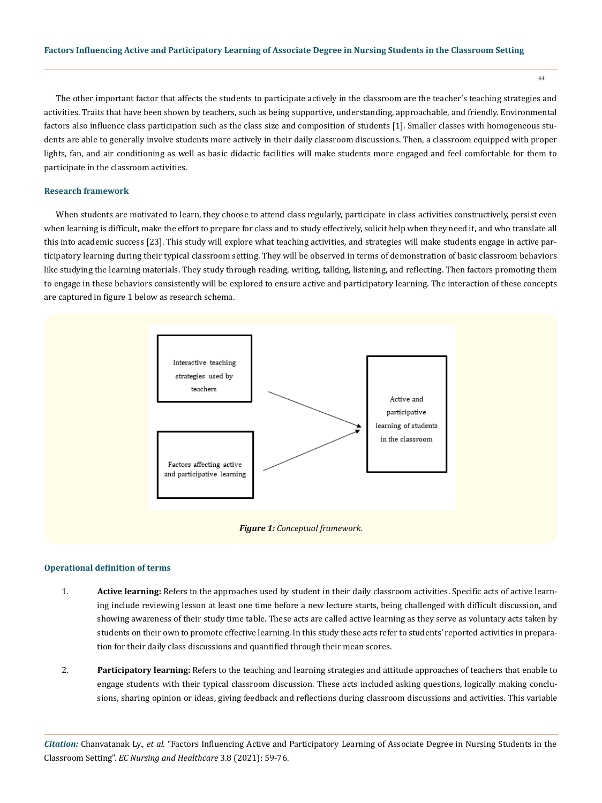The other important factor that affects the students to participate actively in the classroom are the teacher's teaching strategies and activities. Traits that have been shown by teachers, such as being supportive, understanding, approachable, and friendly. Environmental factors also influence class participation such as the class size and composition of students [1]. Smaller classes with homogeneous students are able to generally involve students more actively in their daily classroom discussions. Then, a classroom equipped with proper lights, fan, and air conditioning as well as basic didactic facilities will make students more engaged and feel comfortable for them to participate in the classroom activities.

### **Research framework**

When students are motivated to learn, they choose to attend class regularly, participate in class activities constructively, persist even when learning is difficult, make the effort to prepare for class and to study effectively, solicit help when they need it, and who translate all this into academic success [23]. This study will explore what teaching activities, and strategies will make students engage in active participatory learning during their typical classroom setting. They will be observed in terms of demonstration of basic classroom behaviors like studying the learning materials. They study through reading, writing, talking, listening, and reflecting. Then factors promoting them to engage in these behaviors consistently will be explored to ensure active and participatory learning. The interaction of these concepts are captured in figure 1 below as research schema.



#### **Operational definition of terms**

- 1. **Active learning:** Refers to the approaches used by student in their daily classroom activities. Specific acts of active learning include reviewing lesson at least one time before a new lecture starts, being challenged with difficult discussion, and showing awareness of their study time table. These acts are called active learning as they serve as voluntary acts taken by students on their own to promote effective learning. In this study these acts refer to students' reported activities in preparation for their daily class discussions and quantified through their mean scores.
- 2. **Participatory learning:** Refers to the teaching and learning strategies and attitude approaches of teachers that enable to engage students with their typical classroom discussion. These acts included asking questions, logically making conclusions, sharing opinion or ideas, giving feedback and reflections during classroom discussions and activities. This variable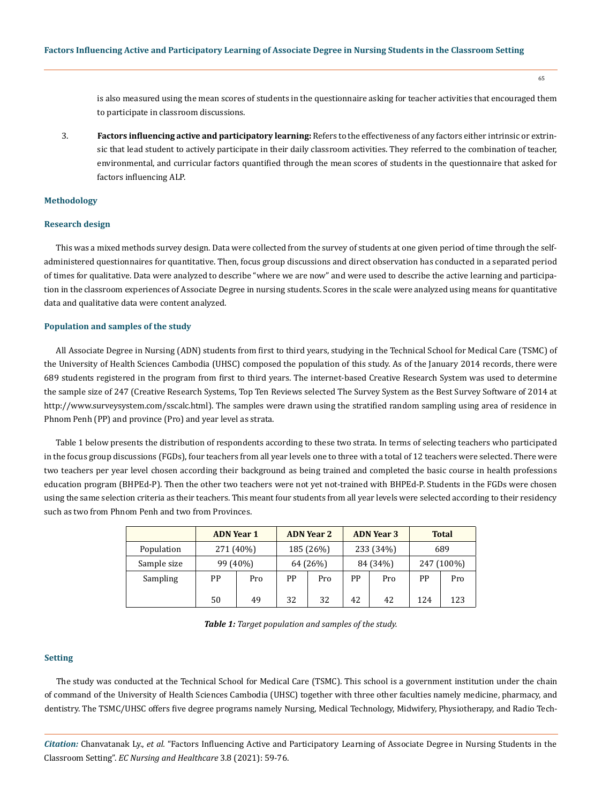is also measured using the mean scores of students in the questionnaire asking for teacher activities that encouraged them to participate in classroom discussions.

3. **Factors influencing active and participatory learning:** Refers to the effectiveness of any factors either intrinsic or extrinsic that lead student to actively participate in their daily classroom activities. They referred to the combination of teacher, environmental, and curricular factors quantified through the mean scores of students in the questionnaire that asked for factors influencing ALP.

### **Methodology**

### **Research design**

This was a mixed methods survey design. Data were collected from the survey of students at one given period of time through the selfadministered questionnaires for quantitative. Then, focus group discussions and direct observation has conducted in a separated period of times for qualitative. Data were analyzed to describe "where we are now" and were used to describe the active learning and participation in the classroom experiences of Associate Degree in nursing students. Scores in the scale were analyzed using means for quantitative data and qualitative data were content analyzed.

### **Population and samples of the study**

All Associate Degree in Nursing (ADN) students from first to third years, studying in the Technical School for Medical Care (TSMC) of the University of Health Sciences Cambodia (UHSC) composed the population of this study. As of the January 2014 records, there were 689 students registered in the program from first to third years. The internet-based Creative Research System was used to determine the sample size of 247 (Creative Research Systems, Top Ten Reviews selected The Survey System as the Best Survey Software of 2014 at http://www.surveysystem.com/sscalc.html). The samples were drawn using the stratified random sampling using area of residence in Phnom Penh (PP) and province (Pro) and year level as strata.

Table 1 below presents the distribution of respondents according to these two strata. In terms of selecting teachers who participated in the focus group discussions (FGDs), four teachers from all year levels one to three with a total of 12 teachers were selected. There were two teachers per year level chosen according their background as being trained and completed the basic course in health professions education program (BHPEd-P). Then the other two teachers were not yet not-trained with BHPEd-P. Students in the FGDs were chosen using the same selection criteria as their teachers. This meant four students from all year levels were selected according to their residency such as two from Phnom Penh and two from Provinces.

|             | <b>ADN Year 1</b> |     |          | <b>ADN Year 2</b> |          | <b>ADN Year 3</b> |            | <b>Total</b> |
|-------------|-------------------|-----|----------|-------------------|----------|-------------------|------------|--------------|
| Population  | 271 (40%)         |     |          | 185 (26%)         |          | 233 (34%)         |            | 689          |
| Sample size | 99 (40%)          |     | 64 (26%) |                   | 84 (34%) |                   | 247 (100%) |              |
| Sampling    | РP                | Pro | PP       | Pro               | PP       | Pro               | PP         | Pro          |
|             | 50                | 49  | 32       | 32                | 42       | 42                | 124        | 123          |

*Table 1: Target population and samples of the study.*

#### **Setting**

The study was conducted at the Technical School for Medical Care (TSMC). This school is a government institution under the chain of command of the University of Health Sciences Cambodia (UHSC) together with three other faculties namely medicine, pharmacy, and dentistry. The TSMC/UHSC offers five degree programs namely Nursing, Medical Technology, Midwifery, Physiotherapy, and Radio Tech-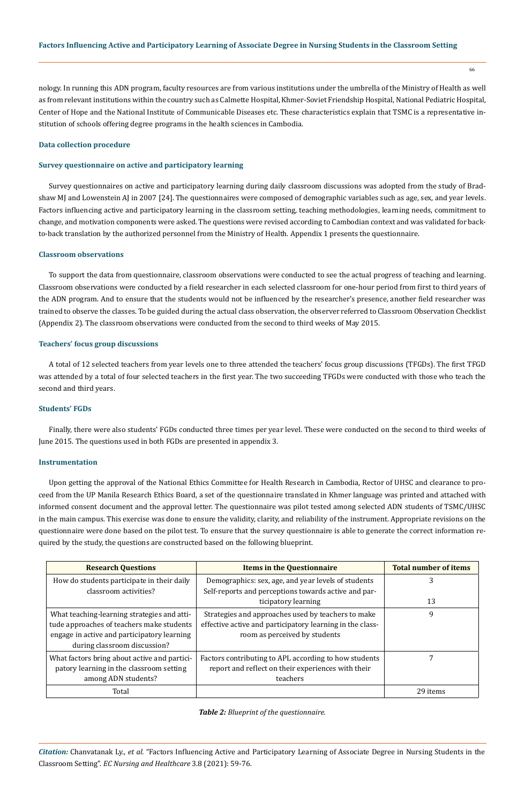nology. In running this ADN program, faculty resources are from various institutions under the umbrella of the Ministry of Health as well as from relevant institutions within the country such as Calmette Hospital, Khmer-Soviet Friendship Hospital, National Pediatric Hospital, Center of Hope and the National Institute of Communicable Diseases etc. These characteristics explain that TSMC is a representative institution of schools offering degree programs in the health sciences in Cambodia.

### **Data collection procedure**

### **Survey questionnaire on active and participatory learning**

Survey questionnaires on active and participatory learning during daily classroom discussions was adopted from the study of Bradshaw MJ and Lowenstein AJ in 2007 [24]. The questionnaires were composed of demographic variables such as age, sex, and year levels. Factors influencing active and participatory learning in the classroom setting, teaching methodologies, learning needs, commitment to change, and motivation components were asked. The questions were revised according to Cambodian context and was validated for backto-back translation by the authorized personnel from the Ministry of Health. Appendix 1 presents the questionnaire.

### **Classroom observations**

To support the data from questionnaire, classroom observations were conducted to see the actual progress of teaching and learning. Classroom observations were conducted by a field researcher in each selected classroom for one-hour period from first to third years of the ADN program. And to ensure that the students would not be influenced by the researcher's presence, another field researcher was trained to observe the classes. To be guided during the actual class observation, the observer referred to Classroom Observation Checklist (Appendix 2). The classroom observations were conducted from the second to third weeks of May 2015.

### **Teachers' focus group discussions**

A total of 12 selected teachers from year levels one to three attended the teachers' focus group discussions (TFGDs). The first TFGD was attended by a total of four selected teachers in the first year. The two succeeding TFGDs were conducted with those who teach the second and third years.

### **Students' FGDs**

Finally, there were also students' FGDs conducted three times per year level. These were conducted on the second to third weeks of June 2015. The questions used in both FGDs are presented in appendix 3.

### **Instrumentation**

Upon getting the approval of the National Ethics Committee for Health Research in Cambodia, Rector of UHSC and clearance to proceed from the UP Manila Research Ethics Board, a set of the questionnaire translated in Khmer language was printed and attached with informed consent document and the approval letter. The questionnaire was pilot tested among selected ADN students of TSMC/UHSC in the main campus. This exercise was done to ensure the validity, clarity, and reliability of the instrument. Appropriate revisions on the questionnaire were done based on the pilot test. To ensure that the survey questionnaire is able to generate the correct information required by the study, the questions are constructed based on the following blueprint.

| <b>Research Questions</b>                    | <b>Items in the Questionnaire</b>                         | <b>Total number of items</b> |
|----------------------------------------------|-----------------------------------------------------------|------------------------------|
| How do students participate in their daily   | Demographics: sex, age, and year levels of students       | 3                            |
| classroom activities?                        | Self-reports and perceptions towards active and par-      |                              |
|                                              | ticipatory learning                                       | 13                           |
| What teaching-learning strategies and atti-  | Strategies and approaches used by teachers to make        | 9                            |
| tude approaches of teachers make students    | effective active and participatory learning in the class- |                              |
| engage in active and participatory learning  | room as perceived by students                             |                              |
| during classroom discussion?                 |                                                           |                              |
| What factors bring about active and partici- | Factors contributing to APL according to how students     | 7                            |
| patory learning in the classroom setting     | report and reflect on their experiences with their        |                              |
| among ADN students?                          | teachers                                                  |                              |
| Total                                        |                                                           | 29 items                     |

### *Table 2: Blueprint of the questionnaire.*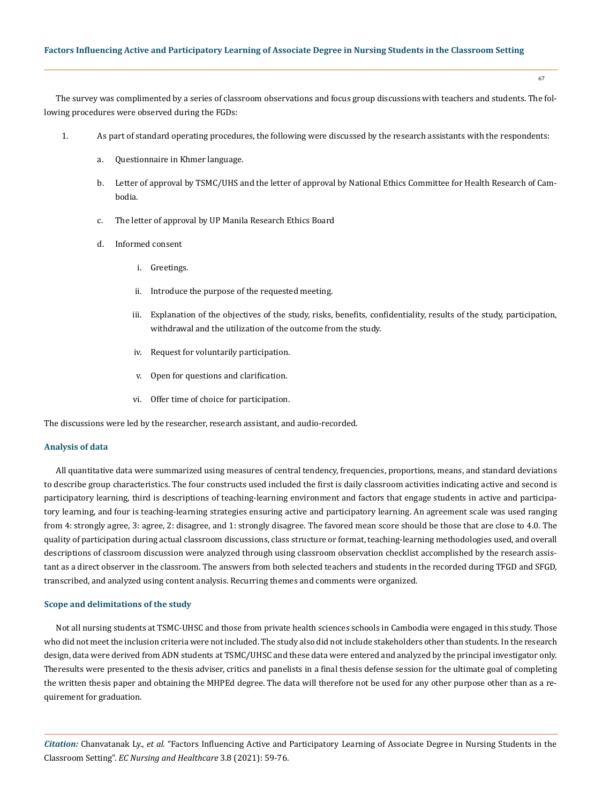### **Factors Influencing Active and Participatory Learning of Associate Degree in Nursing Students in the Classroom Setting**

67

The survey was complimented by a series of classroom observations and focus group discussions with teachers and students. The following procedures were observed during the FGDs:

- 1. As part of standard operating procedures, the following were discussed by the research assistants with the respondents:
	- a. Questionnaire in Khmer language.
	- b. Letter of approval by TSMC/UHS and the letter of approval by National Ethics Committee for Health Research of Cambodia.
	- c. The letter of approval by UP Manila Research Ethics Board
	- d. Informed consent
		- i. Greetings.
		- ii. Introduce the purpose of the requested meeting.
		- iii. Explanation of the objectives of the study, risks, benefits, confidentiality, results of the study, participation, withdrawal and the utilization of the outcome from the study.
		- iv. Request for voluntarily participation.
		- v. Open for questions and clarification.
		- vi. Offer time of choice for participation.

The discussions were led by the researcher, research assistant, and audio-recorded.

#### **Analysis of data**

All quantitative data were summarized using measures of central tendency, frequencies, proportions, means, and standard deviations to describe group characteristics. The four constructs used included the first is daily classroom activities indicating active and second is participatory learning, third is descriptions of teaching-learning environment and factors that engage students in active and participatory learning, and four is teaching-learning strategies ensuring active and participatory learning. An agreement scale was used ranging from 4: strongly agree, 3: agree, 2: disagree, and 1: strongly disagree. The favored mean score should be those that are close to 4.0. The quality of participation during actual classroom discussions, class structure or format, teaching-learning methodologies used, and overall descriptions of classroom discussion were analyzed through using classroom observation checklist accomplished by the research assistant as a direct observer in the classroom. The answers from both selected teachers and students in the recorded during TFGD and SFGD, transcribed, and analyzed using content analysis. Recurring themes and comments were organized.

#### **Scope and delimitations of the study**

Not all nursing students at TSMC-UHSC and those from private health sciences schools in Cambodia were engaged in this study. Those who did not meet the inclusion criteria were not included. The study also did not include stakeholders other than students. In the research design, data were derived from ADN students at TSMC/UHSC and these data were entered and analyzed by the principal investigator only. The results were presented to the thesis adviser, critics and panelists in a final thesis defense session for the ultimate goal of completing the written thesis paper and obtaining the MHPEd degree. The data will therefore not be used for any other purpose other than as a requirement for graduation.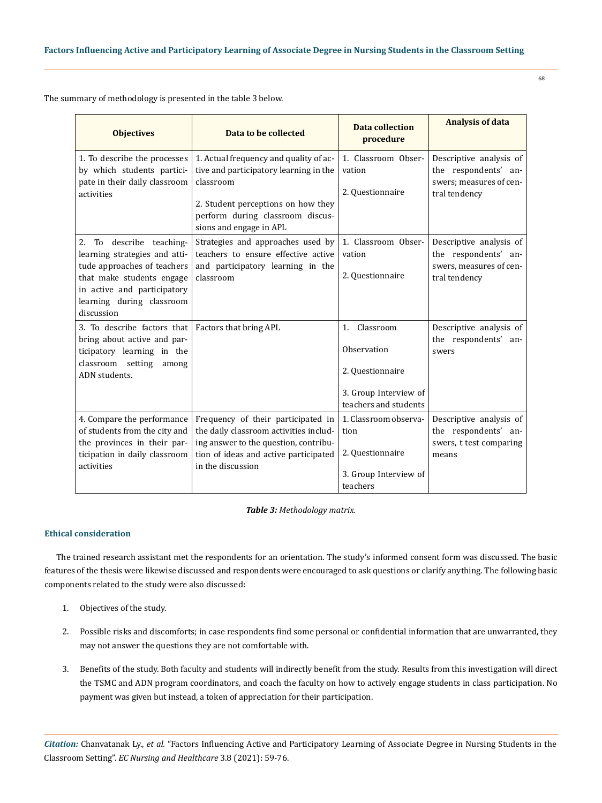The summary of methodology is presented in the table 3 below.

| <b>Objectives</b>                                                                                                                                                                                  | Data to be collected                                                                                                                                                                               | <b>Data collection</b><br>procedure                                                                  | <b>Analysis of data</b>                                                                     |
|----------------------------------------------------------------------------------------------------------------------------------------------------------------------------------------------------|----------------------------------------------------------------------------------------------------------------------------------------------------------------------------------------------------|------------------------------------------------------------------------------------------------------|---------------------------------------------------------------------------------------------|
| 1. To describe the processes<br>by which students partici-<br>pate in their daily classroom<br>activities                                                                                          | 1. Actual frequency and quality of ac-<br>tive and participatory learning in the<br>classroom<br>2. Student perceptions on how they<br>perform during classroom discus-<br>sions and engage in APL | 1. Classroom Obser-<br>vation<br>2. Questionnaire                                                    | Descriptive analysis of<br>the respondents' an-<br>swers; measures of cen-<br>tral tendency |
| To describe teaching-<br>2.<br>learning strategies and atti-<br>tude approaches of teachers<br>that make students engage<br>in active and participatory<br>learning during classroom<br>discussion | Strategies and approaches used by<br>teachers to ensure effective active<br>and participatory learning in the<br>classroom                                                                         | 1. Classroom Obser-<br>vation<br>2. Questionnaire                                                    | Descriptive analysis of<br>the respondents' an-<br>swers, measures of cen-<br>tral tendency |
| 3. To describe factors that<br>bring about active and par-<br>ticipatory learning in the<br>classroom setting<br>among<br>ADN students.                                                            | Factors that bring APL                                                                                                                                                                             | Classroom<br>1.<br>Observation<br>2. Questionnaire<br>3. Group Interview of<br>teachers and students | Descriptive analysis of<br>the respondents' an-<br>swers                                    |
| 4. Compare the performance<br>of students from the city and<br>the provinces in their par-<br>ticipation in daily classroom<br>activities                                                          | Frequency of their participated in<br>the daily classroom activities includ-<br>ing answer to the question, contribu-<br>tion of ideas and active participated<br>in the discussion                | 1. Classroom observa-<br>tion<br>2. Questionnaire<br>3. Group Interview of<br>teachers               | Descriptive analysis of<br>the respondents' an-<br>swers, t test comparing<br>means         |

*Table 3: Methodology matrix.*

### **Ethical consideration**

The trained research assistant met the respondents for an orientation. The study's informed consent form was discussed. The basic features of the thesis were likewise discussed and respondents were encouraged to ask questions or clarify anything. The following basic components related to the study were also discussed:

- 1. Objectives of the study.
- 2. Possible risks and discomforts; in case respondents find some personal or confidential information that are unwarranted, they may not answer the questions they are not comfortable with.
- 3. Benefits of the study. Both faculty and students will indirectly benefit from the study. Results from this investigation will direct the TSMC and ADN program coordinators, and coach the faculty on how to actively engage students in class participation. No payment was given but instead, a token of appreciation for their participation.

*Citation:* Chanvatanak Ly., *et al.* "Factors Influencing Active and Participatory Learning of Associate Degree in Nursing Students in the Classroom Setting". *EC Nursing and Healthcare* 3.8 (2021): 59-76.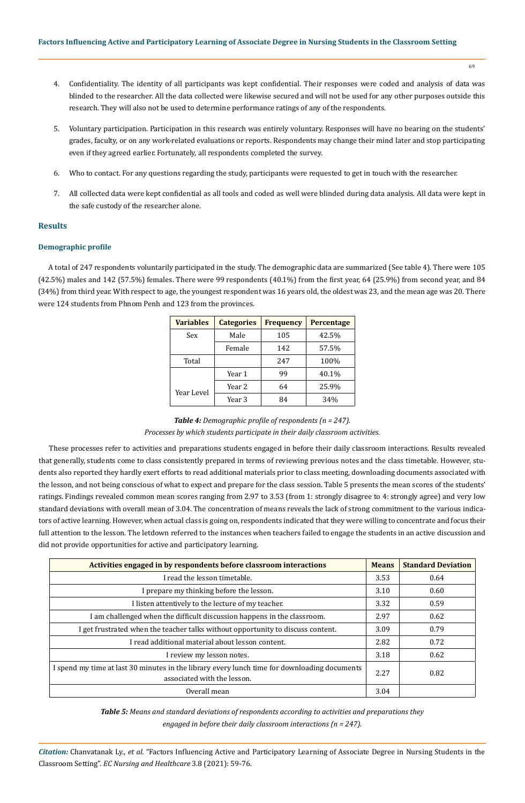- 69
- 4. Confidentiality. The identity of all participants was kept confidential. Their responses were coded and analysis of data was blinded to the researcher. All the data collected were likewise secured and will not be used for any other purposes outside this research. They will also not be used to determine performance ratings of any of the respondents.
- 5. Voluntary participation. Participation in this research was entirely voluntary. Responses will have no bearing on the students' grades, faculty, or on any work-related evaluations or reports. Respondents may change their mind later and stop participating even if they agreed earlier. Fortunately, all respondents completed the survey.
- 6. Who to contact. For any questions regarding the study, participants were requested to get in touch with the researcher.
- 7. All collected data were kept confidential as all tools and coded as well were blinded during data analysis. All data were kept in the safe custody of the researcher alone.

### **Results**

### **Demographic profile**

A total of 247 respondents voluntarily participated in the study. The demographic data are summarized (See table 4). There were 105 (42.5%) males and 142 (57.5%) females. There were 99 respondents (40.1%) from the first year, 64 (25.9%) from second year, and 84 (34%) from third year. With respect to age, the youngest respondent was 16 years old, the oldest was 23, and the mean age was 20. There were 124 students from Phnom Penh and 123 from the provinces.

| <b>Variables</b> | <b>Categories</b> | <b>Frequency</b> | <b>Percentage</b> |
|------------------|-------------------|------------------|-------------------|
| Sex              | Male              | 105              | 42.5%             |
|                  | Female            | 142              | 57.5%             |
| Total            |                   | 247              | 100%              |
|                  | Year 1            | 99               | 40.1%             |
|                  | Year 2            | 64               | 25.9%             |
| Year Level       | Year 3            | 84               | 34%               |

*Table 4: Demographic profile of respondents (n = 247). Processes by which students participate in their daily classroom activities.*

These processes refer to activities and preparations students engaged in before their daily classroom interactions. Results revealed that generally, students come to class consistently prepared in terms of reviewing previous notes and the class timetable. However, students also reported they hardly exert efforts to read additional materials prior to class meeting, downloading documents associated with the lesson, and not being conscious of what to expect and prepare for the class session. Table 5 presents the mean scores of the students' ratings. Findings revealed common mean scores ranging from 2.97 to 3.53 (from 1: strongly disagree to 4: strongly agree) and very low standard deviations with overall mean of 3.04. The concentration of means reveals the lack of strong commitment to the various indicators of active learning. However, when actual class is going on, respondents indicated that they were willing to concentrate and focus their full attention to the lesson. The letdown referred to the instances when teachers failed to engage the students in an active discussion and did not provide opportunities for active and participatory learning.

| Activities engaged in by respondents before classroom interactions                                                          | <b>Means</b> | <b>Standard Deviation</b> |
|-----------------------------------------------------------------------------------------------------------------------------|--------------|---------------------------|
| I read the lesson timetable.                                                                                                | 3.53         | 0.64                      |
| I prepare my thinking before the lesson.                                                                                    | 3.10         | 0.60                      |
| I listen attentively to the lecture of my teacher.                                                                          | 3.32         | 0.59                      |
| I am challenged when the difficult discussion happens in the classroom.                                                     | 2.97         | 0.62                      |
| I get frustrated when the teacher talks without opportunity to discuss content.                                             |              | 0.79                      |
| I read additional material about lesson content.                                                                            |              | 0.72                      |
| I review my lesson notes.                                                                                                   |              | 0.62                      |
| I spend my time at last 30 minutes in the library every lunch time for downloading documents<br>associated with the lesson. |              | 0.82                      |
| Overall mean                                                                                                                | 3.04         |                           |

*Table 5: Means and standard deviations of respondents according to activities and preparations they engaged in before their daily classroom interactions (n = 247).*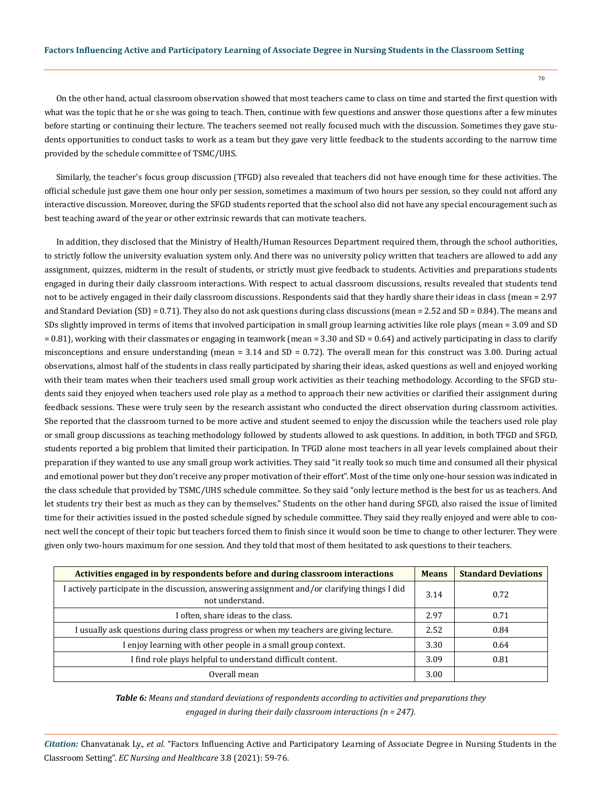On the other hand, actual classroom observation showed that most teachers came to class on time and started the first question with what was the topic that he or she was going to teach. Then, continue with few questions and answer those questions after a few minutes before starting or continuing their lecture. The teachers seemed not really focused much with the discussion. Sometimes they gave students opportunities to conduct tasks to work as a team but they gave very little feedback to the students according to the narrow time provided by the schedule committee of TSMC/UHS.

Similarly, the teacher's focus group discussion (TFGD) also revealed that teachers did not have enough time for these activities. The official schedule just gave them one hour only per session, sometimes a maximum of two hours per session, so they could not afford any interactive discussion. Moreover, during the SFGD students reported that the school also did not have any special encouragement such as best teaching award of the year or other extrinsic rewards that can motivate teachers.

In addition, they disclosed that the Ministry of Health/Human Resources Department required them, through the school authorities, to strictly follow the university evaluation system only. And there was no university policy written that teachers are allowed to add any assignment, quizzes, midterm in the result of students, or strictly must give feedback to students. Activities and preparations students engaged in during their daily classroom interactions. With respect to actual classroom discussions, results revealed that students tend not to be actively engaged in their daily classroom discussions. Respondents said that they hardly share their ideas in class (mean = 2.97 and Standard Deviation (SD) = 0.71). They also do not ask questions during class discussions (mean = 2.52 and SD = 0.84). The means and SDs slightly improved in terms of items that involved participation in small group learning activities like role plays (mean = 3.09 and SD = 0.81), working with their classmates or engaging in teamwork (mean = 3.30 and SD = 0.64) and actively participating in class to clarify misconceptions and ensure understanding (mean = 3.14 and SD = 0.72). The overall mean for this construct was 3.00. During actual observations, almost half of the students in class really participated by sharing their ideas, asked questions as well and enjoyed working with their team mates when their teachers used small group work activities as their teaching methodology. According to the SFGD students said they enjoyed when teachers used role play as a method to approach their new activities or clarified their assignment during feedback sessions. These were truly seen by the research assistant who conducted the direct observation during classroom activities. She reported that the classroom turned to be more active and student seemed to enjoy the discussion while the teachers used role play or small group discussions as teaching methodology followed by students allowed to ask questions. In addition, in both TFGD and SFGD, students reported a big problem that limited their participation. In TFGD alone most teachers in all year levels complained about their preparation if they wanted to use any small group work activities. They said "it really took so much time and consumed all their physical and emotional power but they don't receive any proper motivation of their effort". Most of the time only one-hour session was indicated in the class schedule that provided by TSMC/UHS schedule committee. So they said "only lecture method is the best for us as teachers. And let students try their best as much as they can by themselves." Students on the other hand during SFGD, also raised the issue of limited time for their activities issued in the posted schedule signed by schedule committee. They said they really enjoyed and were able to connect well the concept of their topic but teachers forced them to finish since it would soon be time to change to other lecturer. They were given only two-hours maximum for one session. And they told that most of them hesitated to ask questions to their teachers.

| Activities engaged in by respondents before and during classroom interactions                                    | <b>Means</b> | <b>Standard Deviations</b> |
|------------------------------------------------------------------------------------------------------------------|--------------|----------------------------|
| I actively participate in the discussion, answering assignment and/or clarifying things I did<br>not understand. | 3.14         | 0.72                       |
| I often, share ideas to the class.                                                                               | 2.97         | 0.71                       |
| I usually ask questions during class progress or when my teachers are giving lecture.                            | 2.52         | 0.84                       |
| I enjoy learning with other people in a small group context.                                                     | 3.30         | 0.64                       |
| I find role plays helpful to understand difficult content.                                                       | 3.09         | 0.81                       |
| Overall mean                                                                                                     | 3.00         |                            |

*Table 6: Means and standard deviations of respondents according to activities and preparations they engaged in during their daily classroom interactions (n = 247).*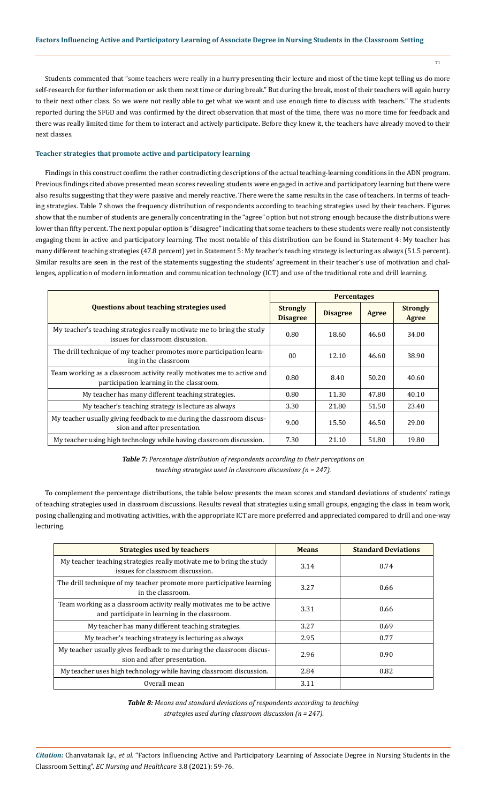Students commented that "some teachers were really in a hurry presenting their lecture and most of the time kept telling us do more self-research for further information or ask them next time or during break." But during the break, most of their teachers will again hurry to their next other class. So we were not really able to get what we want and use enough time to discuss with teachers." The students reported during the SFGD and was confirmed by the direct observation that most of the time, there was no more time for feedback and there was really limited time for them to interact and actively participate. Before they knew it, the teachers have already moved to their next classes.

### **Teacher strategies that promote active and participatory learning**

Findings in this construct confirm the rather contradicting descriptions of the actual teaching-learning conditions in the ADN program. Previous findings cited above presented mean scores revealing students were engaged in active and participatory learning but there were also results suggesting that they were passive and merely reactive. There were the same results in the case of teachers. In terms of teaching strategies. Table 7 shows the frequency distribution of respondents according to teaching strategies used by their teachers. Figures show that the number of students are generally concentrating in the "agree" option but not strong enough because the distributions were lower than fifty percent. The next popular option is "disagree" indicating that some teachers to these students were really not consistently engaging them in active and participatory learning. The most notable of this distribution can be found in Statement 4: My teacher has many different teaching strategies (47.8 percent) yet in Statement 5: My teacher's teaching strategy is lecturing as always (51.5 percent). Similar results are seen in the rest of the statements suggesting the students' agreement in their teacher's use of motivation and challenges, application of modern information and communication technology (ICT) and use of the traditional rote and drill learning.

|                                                                                                                    | <b>Percentages</b>                 |                 |       |                                 |
|--------------------------------------------------------------------------------------------------------------------|------------------------------------|-----------------|-------|---------------------------------|
| <b>Questions about teaching strategies used</b>                                                                    | <b>Strongly</b><br><b>Disagree</b> | <b>Disagree</b> | Agree | <b>Strongly</b><br><b>Agree</b> |
| My teacher's teaching strategies really motivate me to bring the study<br>issues for classroom discussion.         | 0.80                               | 18.60           | 46.60 | 34.00                           |
| The drill technique of my teacher promotes more participation learn-<br>ing in the classroom                       | 00                                 | 12.10           | 46.60 | 38.90                           |
| Team working as a classroom activity really motivates me to active and<br>participation learning in the classroom. | 0.80                               | 8.40            | 50.20 | 40.60                           |
| My teacher has many different teaching strategies.                                                                 | 0.80                               | 11.30           | 47.80 | 40.10                           |
| My teacher's teaching strategy is lecture as always                                                                | 3.30                               | 21.80           | 51.50 | 23.40                           |
| My teacher usually giving feedback to me during the classroom discus-<br>sion and after presentation.              | 9.00                               | 15.50           | 46.50 | 29.00                           |
| My teacher using high technology while having classroom discussion.                                                | 7.30                               | 21.10           | 51.80 | 19.80                           |

*Table 7: Percentage distribution of respondents according to their perceptions on teaching strategies used in classroom discussions (n = 247).*

To complement the percentage distributions, the table below presents the mean scores and standard deviations of students' ratings of teaching strategies used in classroom discussions. Results reveal that strategies using small groups, engaging the class in team work, posing challenging and motivating activities, with the appropriate ICT are more preferred and appreciated compared to drill and one-way lecturing.

| <b>Strategies used by teachers</b>                                                                                     | <b>Means</b> | <b>Standard Deviations</b> |
|------------------------------------------------------------------------------------------------------------------------|--------------|----------------------------|
| My teacher teaching strategies really motivate me to bring the study<br>issues for classroom discussion.               | 3.14         | 0.74                       |
| The drill technique of my teacher promote more participative learning<br>in the classroom.                             | 3.27         | 0.66                       |
| Team working as a classroom activity really motivates me to be active<br>and participate in learning in the classroom. | 3.31         | 0.66                       |
| My teacher has many different teaching strategies.                                                                     | 3.27         | 0.69                       |
| My teacher's teaching strategy is lecturing as always                                                                  | 2.95         | 0.77                       |
| My teacher usually gives feedback to me during the classroom discus-<br>sion and after presentation.                   | 2.96         | 0.90                       |
| My teacher uses high technology while having classroom discussion.                                                     | 2.84         | 0.82                       |
| Overall mean                                                                                                           | 3.11         |                            |

*Table 8: Means and standard deviations of respondents according to teaching strategies used during classroom discussion (n = 247).*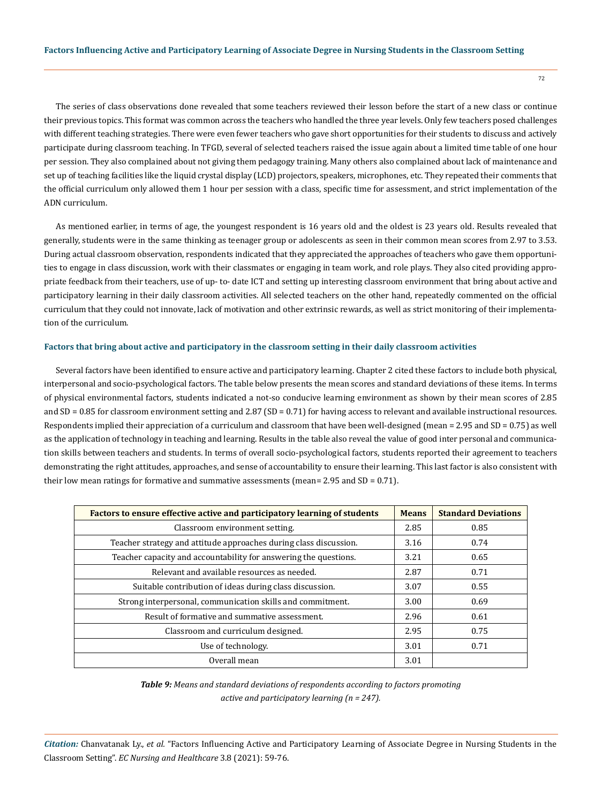The series of class observations done revealed that some teachers reviewed their lesson before the start of a new class or continue their previous topics. This format was common across the teachers who handled the three year levels. Only few teachers posed challenges with different teaching strategies. There were even fewer teachers who gave short opportunities for their students to discuss and actively participate during classroom teaching. In TFGD, several of selected teachers raised the issue again about a limited time table of one hour per session. They also complained about not giving them pedagogy training. Many others also complained about lack of maintenance and set up of teaching facilities like the liquid crystal display (LCD) projectors, speakers, microphones, etc. They repeated their comments that the official curriculum only allowed them 1 hour per session with a class, specific time for assessment, and strict implementation of the ADN curriculum.

As mentioned earlier, in terms of age, the youngest respondent is 16 years old and the oldest is 23 years old. Results revealed that generally, students were in the same thinking as teenager group or adolescents as seen in their common mean scores from 2.97 to 3.53. During actual classroom observation, respondents indicated that they appreciated the approaches of teachers who gave them opportunities to engage in class discussion, work with their classmates or engaging in team work, and role plays. They also cited providing appropriate feedback from their teachers, use of up- to- date ICT and setting up interesting classroom environment that bring about active and participatory learning in their daily classroom activities. All selected teachers on the other hand, repeatedly commented on the official curriculum that they could not innovate, lack of motivation and other extrinsic rewards, as well as strict monitoring of their implementation of the curriculum.

#### **Factors that bring about active and participatory in the classroom setting in their daily classroom activities**

Several factors have been identified to ensure active and participatory learning. Chapter 2 cited these factors to include both physical, interpersonal and socio-psychological factors. The table below presents the mean scores and standard deviations of these items. In terms of physical environmental factors, students indicated a not-so conducive learning environment as shown by their mean scores of 2.85 and SD = 0.85 for classroom environment setting and 2.87 (SD = 0.71) for having access to relevant and available instructional resources. Respondents implied their appreciation of a curriculum and classroom that have been well-designed (mean = 2.95 and SD = 0.75) as well as the application of technology in teaching and learning. Results in the table also reveal the value of good inter personal and communication skills between teachers and students. In terms of overall socio-psychological factors, students reported their agreement to teachers demonstrating the right attitudes, approaches, and sense of accountability to ensure their learning. This last factor is also consistent with their low mean ratings for formative and summative assessments (mean=  $2.95$  and SD =  $0.71$ ).

| Factors to ensure effective active and participatory learning of students |      | <b>Standard Deviations</b> |
|---------------------------------------------------------------------------|------|----------------------------|
| Classroom environment setting.                                            | 2.85 | 0.85                       |
| Teacher strategy and attitude approaches during class discussion.         | 3.16 | 0.74                       |
| Teacher capacity and accountability for answering the questions.          | 3.21 | 0.65                       |
| Relevant and available resources as needed.                               | 2.87 | 0.71                       |
| Suitable contribution of ideas during class discussion.                   | 3.07 | 0.55                       |
| Strong interpersonal, communication skills and commitment.                | 3.00 | 0.69                       |
| Result of formative and summative assessment.                             | 2.96 | 0.61                       |
| Classroom and curriculum designed.                                        | 2.95 | 0.75                       |
| Use of technology.                                                        | 3.01 | 0.71                       |
| Overall mean                                                              | 3.01 |                            |

*Table 9: Means and standard deviations of respondents according to factors promoting active and participatory learning (n = 247).*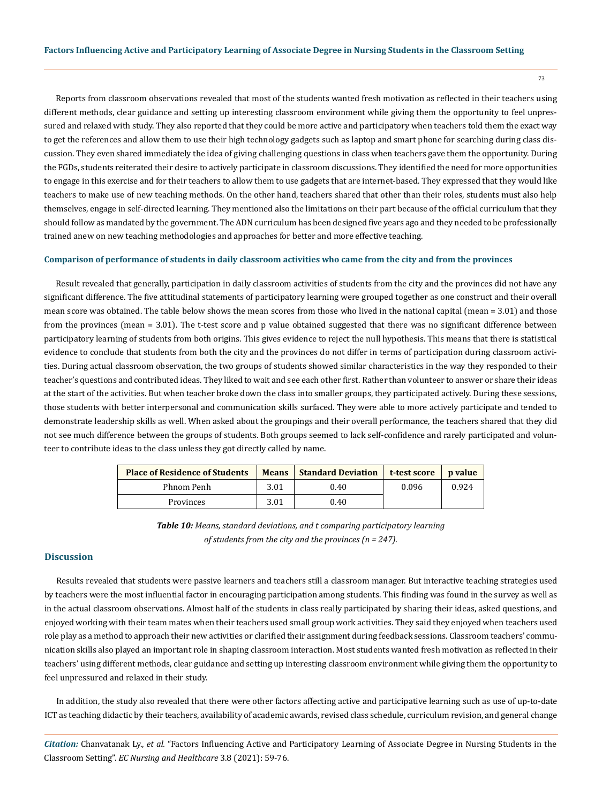Reports from classroom observations revealed that most of the students wanted fresh motivation as reflected in their teachers using different methods, clear guidance and setting up interesting classroom environment while giving them the opportunity to feel unpressured and relaxed with study. They also reported that they could be more active and participatory when teachers told them the exact way to get the references and allow them to use their high technology gadgets such as laptop and smart phone for searching during class discussion. They even shared immediately the idea of giving challenging questions in class when teachers gave them the opportunity. During the FGDs, students reiterated their desire to actively participate in classroom discussions. They identified the need for more opportunities to engage in this exercise and for their teachers to allow them to use gadgets that are internet-based. They expressed that they would like teachers to make use of new teaching methods. On the other hand, teachers shared that other than their roles, students must also help themselves, engage in self-directed learning. They mentioned also the limitations on their part because of the official curriculum that they should follow as mandated by the government. The ADN curriculum has been designed five years ago and they needed to be professionally trained anew on new teaching methodologies and approaches for better and more effective teaching.

#### **Comparison of performance of students in daily classroom activities who came from the city and from the provinces**

Result revealed that generally, participation in daily classroom activities of students from the city and the provinces did not have any significant difference. The five attitudinal statements of participatory learning were grouped together as one construct and their overall mean score was obtained. The table below shows the mean scores from those who lived in the national capital (mean = 3.01) and those from the provinces (mean = 3.01). The t-test score and p value obtained suggested that there was no significant difference between participatory learning of students from both origins. This gives evidence to reject the null hypothesis. This means that there is statistical evidence to conclude that students from both the city and the provinces do not differ in terms of participation during classroom activities. During actual classroom observation, the two groups of students showed similar characteristics in the way they responded to their teacher's questions and contributed ideas. They liked to wait and see each other first. Rather than volunteer to answer or share their ideas at the start of the activities. But when teacher broke down the class into smaller groups, they participated actively. During these sessions, those students with better interpersonal and communication skills surfaced. They were able to more actively participate and tended to demonstrate leadership skills as well. When asked about the groupings and their overall performance, the teachers shared that they did not see much difference between the groups of students. Both groups seemed to lack self-confidence and rarely participated and volunteer to contribute ideas to the class unless they got directly called by name.

| <b>Place of Residence of Students</b> | <b>Means</b> | <b>Standard Deviation</b> | t-test score | <b>p</b> value |
|---------------------------------------|--------------|---------------------------|--------------|----------------|
| Phnom Penh                            | 3.01         | 0.40                      | 0.096        | 0.924          |
| Provinces                             | 3.01         | 0.40                      |              |                |

*Table 10: Means, standard deviations, and t comparing participatory learning of students from the city and the provinces (n = 247).*

### **Discussion**

Results revealed that students were passive learners and teachers still a classroom manager. But interactive teaching strategies used by teachers were the most influential factor in encouraging participation among students. This finding was found in the survey as well as in the actual classroom observations. Almost half of the students in class really participated by sharing their ideas, asked questions, and enjoyed working with their team mates when their teachers used small group work activities. They said they enjoyed when teachers used role play as a method to approach their new activities or clarified their assignment during feedback sessions. Classroom teachers' communication skills also played an important role in shaping classroom interaction. Most students wanted fresh motivation as reflected in their teachers' using different methods, clear guidance and setting up interesting classroom environment while giving them the opportunity to feel unpressured and relaxed in their study.

In addition, the study also revealed that there were other factors affecting active and participative learning such as use of up-to-date ICT as teaching didactic by their teachers, availability of academic awards, revised class schedule, curriculum revision, and general change

*Citation:* Chanvatanak Ly., *et al.* "Factors Influencing Active and Participatory Learning of Associate Degree in Nursing Students in the Classroom Setting". *EC Nursing and Healthcare* 3.8 (2021): 59-76.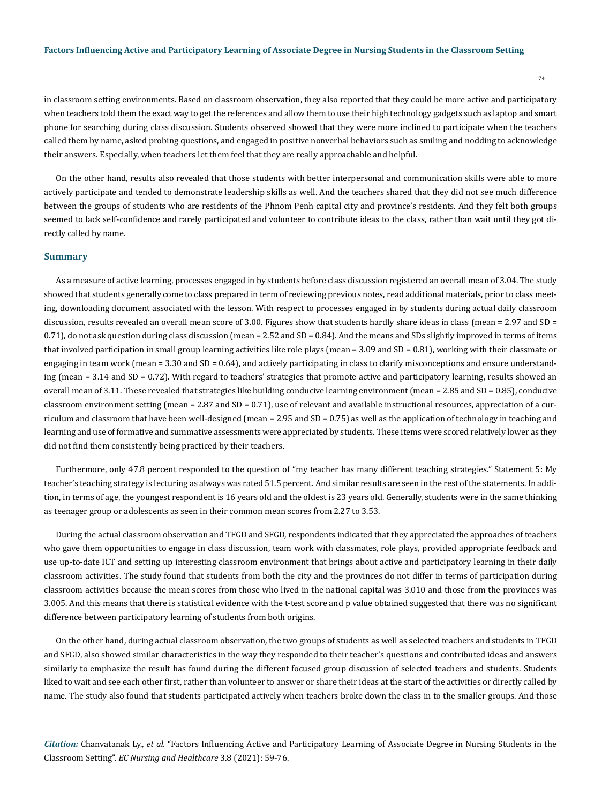in classroom setting environments. Based on classroom observation, they also reported that they could be more active and participatory when teachers told them the exact way to get the references and allow them to use their high technology gadgets such as laptop and smart phone for searching during class discussion. Students observed showed that they were more inclined to participate when the teachers called them by name, asked probing questions, and engaged in positive nonverbal behaviors such as smiling and nodding to acknowledge their answers. Especially, when teachers let them feel that they are really approachable and helpful.

On the other hand, results also revealed that those students with better interpersonal and communication skills were able to more actively participate and tended to demonstrate leadership skills as well. And the teachers shared that they did not see much difference between the groups of students who are residents of the Phnom Penh capital city and province's residents. And they felt both groups seemed to lack self-confidence and rarely participated and volunteer to contribute ideas to the class, rather than wait until they got directly called by name.

### **Summary**

As a measure of active learning, processes engaged in by students before class discussion registered an overall mean of 3.04. The study showed that students generally come to class prepared in term of reviewing previous notes, read additional materials, prior to class meeting, downloading document associated with the lesson. With respect to processes engaged in by students during actual daily classroom discussion, results revealed an overall mean score of 3.00. Figures show that students hardly share ideas in class (mean = 2.97 and SD = 0.71), do not ask question during class discussion (mean = 2.52 and SD = 0.84). And the means and SDs slightly improved in terms of items that involved participation in small group learning activities like role plays (mean = 3.09 and SD = 0.81), working with their classmate or engaging in team work (mean = 3.30 and SD = 0.64), and actively participating in class to clarify misconceptions and ensure understanding (mean = 3.14 and SD = 0.72). With regard to teachers' strategies that promote active and participatory learning, results showed an overall mean of 3.11. These revealed that strategies like building conducive learning environment (mean = 2.85 and SD = 0.85), conducive classroom environment setting (mean  $= 2.87$  and SD  $= 0.71$ ), use of relevant and available instructional resources, appreciation of a curriculum and classroom that have been well-designed (mean = 2.95 and SD = 0.75) as well as the application of technology in teaching and learning and use of formative and summative assessments were appreciated by students. These items were scored relatively lower as they did not find them consistently being practiced by their teachers.

Furthermore, only 47.8 percent responded to the question of "my teacher has many different teaching strategies." Statement 5: My teacher's teaching strategy is lecturing as always was rated 51.5 percent. And similar results are seen in the rest of the statements. In addition, in terms of age, the youngest respondent is 16 years old and the oldest is 23 years old. Generally, students were in the same thinking as teenager group or adolescents as seen in their common mean scores from 2.27 to 3.53.

During the actual classroom observation and TFGD and SFGD, respondents indicated that they appreciated the approaches of teachers who gave them opportunities to engage in class discussion, team work with classmates, role plays, provided appropriate feedback and use up-to-date ICT and setting up interesting classroom environment that brings about active and participatory learning in their daily classroom activities. The study found that students from both the city and the provinces do not differ in terms of participation during classroom activities because the mean scores from those who lived in the national capital was 3.010 and those from the provinces was 3.005. And this means that there is statistical evidence with the t-test score and p value obtained suggested that there was no significant difference between participatory learning of students from both origins.

On the other hand, during actual classroom observation, the two groups of students as well as selected teachers and students in TFGD and SFGD, also showed similar characteristics in the way they responded to their teacher's questions and contributed ideas and answers similarly to emphasize the result has found during the different focused group discussion of selected teachers and students. Students liked to wait and see each other first, rather than volunteer to answer or share their ideas at the start of the activities or directly called by name. The study also found that students participated actively when teachers broke down the class in to the smaller groups. And those

*Citation:* Chanvatanak Ly., *et al.* "Factors Influencing Active and Participatory Learning of Associate Degree in Nursing Students in the Classroom Setting". *EC Nursing and Healthcare* 3.8 (2021): 59-76.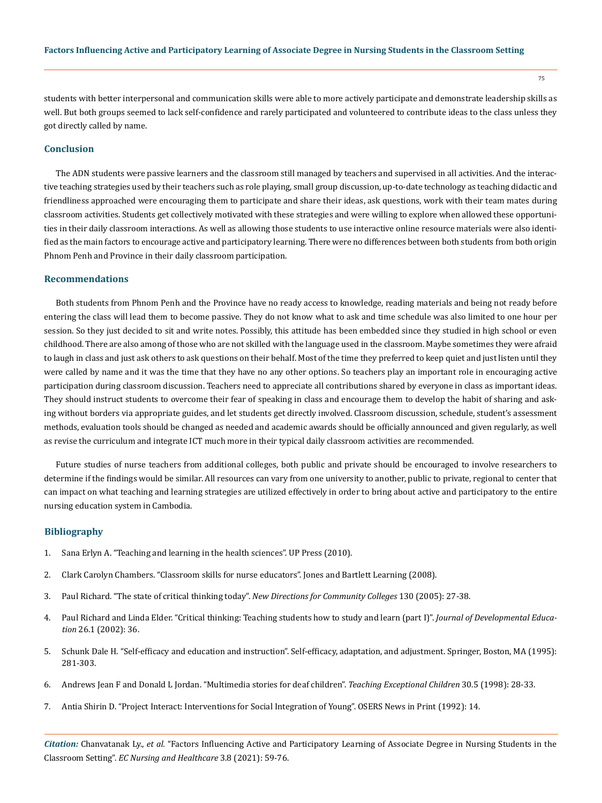students with better interpersonal and communication skills were able to more actively participate and demonstrate leadership skills as well. But both groups seemed to lack self-confidence and rarely participated and volunteered to contribute ideas to the class unless they got directly called by name.

### **Conclusion**

The ADN students were passive learners and the classroom still managed by teachers and supervised in all activities. And the interactive teaching strategies used by their teachers such as role playing, small group discussion, up-to-date technology as teaching didactic and friendliness approached were encouraging them to participate and share their ideas, ask questions, work with their team mates during classroom activities. Students get collectively motivated with these strategies and were willing to explore when allowed these opportunities in their daily classroom interactions. As well as allowing those students to use interactive online resource materials were also identified as the main factors to encourage active and participatory learning. There were no differences between both students from both origin Phnom Penh and Province in their daily classroom participation.

### **Recommendations**

Both students from Phnom Penh and the Province have no ready access to knowledge, reading materials and being not ready before entering the class will lead them to become passive. They do not know what to ask and time schedule was also limited to one hour per session. So they just decided to sit and write notes. Possibly, this attitude has been embedded since they studied in high school or even childhood. There are also among of those who are not skilled with the language used in the classroom. Maybe sometimes they were afraid to laugh in class and just ask others to ask questions on their behalf. Most of the time they preferred to keep quiet and just listen until they were called by name and it was the time that they have no any other options. So teachers play an important role in encouraging active participation during classroom discussion. Teachers need to appreciate all contributions shared by everyone in class as important ideas. They should instruct students to overcome their fear of speaking in class and encourage them to develop the habit of sharing and asking without borders via appropriate guides, and let students get directly involved. Classroom discussion, schedule, student's assessment methods, evaluation tools should be changed as needed and academic awards should be officially announced and given regularly, as well as revise the curriculum and integrate ICT much more in their typical daily classroom activities are recommended.

Future studies of nurse teachers from additional colleges, both public and private should be encouraged to involve researchers to determine if the findings would be similar. All resources can vary from one university to another, public to private, regional to center that can impact on what teaching and learning strategies are utilized effectively in order to bring about active and participatory to the entire nursing education system in Cambodia.

### **Bibliography**

- 1. [Sana Erlyn A. "Teaching and learning in the health sciences". UP Press \(2010\).](http://www.nast.ph/images/pdf%20files/Publications/Outstanding-Awardees%20BOOKS/2011/Teaching%20and%20Learning%20in%20the%20Health%20Sciences.pdf)
- 2. [Clark Carolyn Chambers. "Classroom skills for nurse educators". Jones and Bartlett Learning \(2008\).](https://www.jblearning.com/catalog/productdetails/9780763749750)
- 3. [Paul Richard. "The state of critical thinking today".](https://www.criticalthinking.org/pages/the-state-of-critical-thinking-today/523) *New Directions for Community Colleges* 130 (2005): 27-38.
- 4. [Paul Richard and Linda Elder. "Critical thinking: Teaching students how to study and learn \(part I\)".](https://www.researchgate.net/publication/234580998_Critical_Thinking_Teaching_Students_How_To_Study_and_Learn_Part_II) *Journal of Developmental Education* [26.1 \(2002\): 36.](https://www.researchgate.net/publication/234580998_Critical_Thinking_Teaching_Students_How_To_Study_and_Learn_Part_II)
- 5. [Schunk Dale H. "Self-efficacy and education and instruction". Self-efficacy, adaptation, and adjustment. Springer, Boston, MA \(1995\):](https://link.springer.com/chapter/10.1007/978-1-4419-6868-5_10)  [281-303.](https://link.springer.com/chapter/10.1007/978-1-4419-6868-5_10)
- 6. [Andrews Jean F and Donald L Jordan. "Multimedia stories for deaf children".](https://journals.sagepub.com/doi/10.1177/004005999803000507) *Teaching Exceptional Children* 30.5 (1998): 28-33.
- 7. Antia Shirin D. "Project Interact: Interventions for Social Integration of Young". OSERS News in Print (1992): 14.